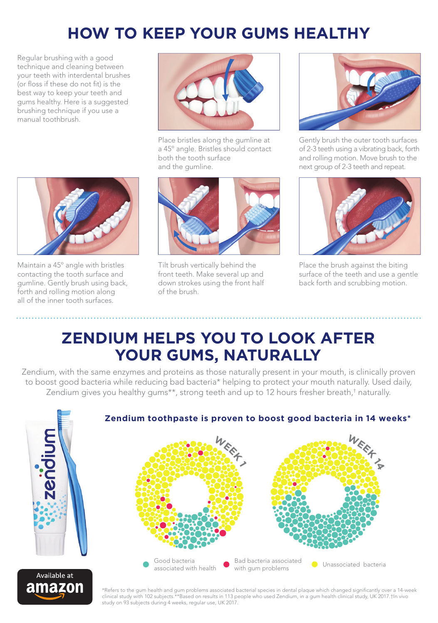## **HOW TO KEEP YOUR GUMS HEALTHY**

Regular brushing with a good technique and cleaning between your teeth with interdental brushes (or floss if these do not fit) is the best way to keep your teeth and gums healthy. Here is a suggested brushing technique if you use a manual toothbrush.



Place bristles along the gumline at a 45º angle. Bristles should contact both the tooth surface and the gumline.



Gently brush the outer tooth surfaces of 2-3 teeth using a vibrating back, forth and rolling motion. Move brush to the next group of 2-3 teeth and repeat.



Place the brush against the biting surface of the teeth and use a gentle back forth and scrubbing motion.



Maintain a 45º angle with bristles contacting the tooth surface and gumline. Gently brush using back, forth and rolling motion along all of the inner tooth surfaces.



Tilt brush vertically behind the front teeth. Make several up and down strokes using the front half of the brush.

#### **ZENDIUM HELPS YOU TO LOOK AFTER YOUR GUMS, NATURALLY**

Zendium, with the same enzymes and proteins as those naturally present in your mouth, is clinically proven to boost good bacteria while reducing bad bacteria\* helping to protect your mouth naturally. Used daily, Zendium gives you healthy gums\*\*, strong teeth and up to 12 hours fresher breath,† naturally.

associated with health



# Good bacteria Bad bacteria associated Bad bacteria associated<br>with gum problems **WEEF**<br>220.1 **WEEF**<br>2006<br>2009 F

**Zendium toothpaste is proven to boost good bacteria in 14 weeks\***



\*Refers to the gum health and gum problems associated bacterial species in dental plaque which changed significantly over a 14-week clinical study with 102 subjects.\*\*Based on results in 113 people who used Zendium, in a gum health clinical study, UK 2017.†In vivo study on 93 subjects during 4 weeks, regular use, UK 2017.